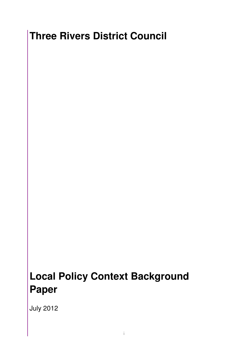# **Three Rivers District Council**

# **Local Policy Context Background Paper**

July 2012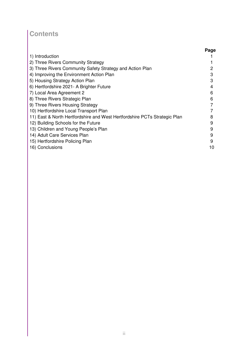# **Contents**

|                                                                           | Page |
|---------------------------------------------------------------------------|------|
| 1) Introduction                                                           |      |
| 2) Three Rivers Community Strategy                                        |      |
| 3) Three Rivers Community Safety Strategy and Action Plan                 | 2    |
| 4) Improving the Environment Action Plan                                  | 3    |
| 5) Housing Strategy Action Plan                                           | 3    |
| 6) Hertfordshire 2021 - A Brighter Future                                 | 4    |
| 7) Local Area Agreement 2                                                 | 6    |
| 8) Three Rivers Strategic Plan                                            | 6    |
| 9) Three Rivers Housing Strategy                                          |      |
| 10) Hertfordshire Local Transport Plan                                    |      |
| 11) East & North Hertfordshire and West Hertfordshire PCTs Strategic Plan | 8    |
| 12) Building Schools for the Future                                       | 9    |
| 13) Children and Young People's Plan                                      | 9    |
| 14) Adult Care Services Plan                                              | 9    |
| 15) Hertfordshire Policing Plan                                           | 9    |
| 16) Conclusions                                                           | 10   |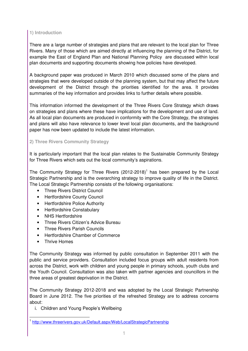# **1) Introduction**

There are a large number of strategies and plans that are relevant to the local plan for Three Rivers. Many of those which are aimed directly at influencing the planning of the District, for example the East of England Plan and National Planning Policy are discussed within local plan documents and supporting documents showing how policies have developed.

A background paper was produced in March 2010 which discussed some of the plans and strategies that were developed outside of the planning system, but that may affect the future development of the District through the priorities identified for the area. It provides summaries of the key information and provides links to further details where possible.

This information informed the development of the Three Rivers Core Strategy which draws on strategies and plans where these have implications for the development and use of land. As all local plan documents are produced in conformity with the Core Strategy, the strategies and plans will also have relevance to lower level local plan documents, and the background paper has now been updated to include the latest information.

# **2) Three Rivers Community Strategy**

It is particularly important that the local plan relates to the Sustainable Community Strategy for Three Rivers which sets out the local community's aspirations.

The Community Strategy for Three Rivers  $(2012-2018)^1$  has been prepared by the Local Strategic Partnership and is the overarching strategy to improve quality of life in the District. The Local Strategic Partnership consists of the following organisations:

- Three Rivers District Council
- Hertfordshire County Council
- Hertfordshire Police Authority
- Hertfordshire Constabulary
- NHS Hertfordshire
- Three Rivers Citizen's Advice Bureau
- Three Rivers Parish Councils
- Hertfordshire Chamber of Commerce
- **Thrive Homes**

l.

The Community Strategy was informed by public consultation in September 2011 with the public and service providers. Consultation included focus groups with adult residents from across the District, work with children and young people in primary schools, youth clubs and the Youth Council. Consultation was also taken with partner agencies and councillors in the three areas of greatest deprivation in the District.

The Community Strategy 2012-2018 and was adopted by the Local Strategic Partnership Board in June 2012. The five priorities of the refreshed Strategy are to address concerns about:

i. Children and Young People's Wellbeing

<sup>&</sup>lt;sup>1</sup> http://www.threerivers.gov.uk/Default.aspx/Web/LocalStrategicPartnership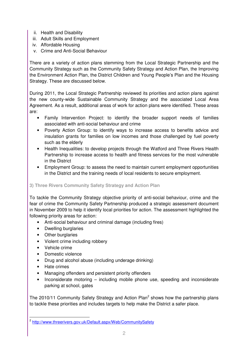- ii. Health and Disability
- iii. Adult Skills and Employment
- iv. Affordable Housing
- v. Crime and Anti-Social Behaviour

There are a variety of action plans stemming from the Local Strategic Partnership and the Community Strategy such as the Community Safety Strategy and Action Plan, the Improving the Environment Action Plan, the District Children and Young People's Plan and the Housing Strategy. These are discussed below.

During 2011, the Local Strategic Partnership reviewed its priorities and action plans against the new county-wide Sustainable Community Strategy and the associated Local Area Agreement. As a result, additional areas of work for action plans were identified. These areas are:

- Family Intervention Project: to identify the broader support needs of families associated with anti-social behaviour and crime
- Poverty Action Group: to identify ways to increase access to benefits advice and insulation grants for families on low incomes and those challenged by fuel poverty such as the elderly
- Health Inequalities: to develop projects through the Watford and Three Rivers Health Partnership to increase access to health and fitness services for the most vulnerable in the District
- Employment Group: to assess the need to maintain current employment opportunities in the District and the training needs of local residents to secure employment.

# **3) Three Rivers Community Safety Strategy and Action Plan**

To tackle the Community Strategy objective priority of anti-social behaviour, crime and the fear of crime the Community Safety Partnership produced a strategic assessment document in November 2009 to help it identify local priorities for action. The assessment highlighted the following priority areas for action:

- Anti-social behaviour and criminal damage (including fires)
- Dwelling burglaries
- Other burglaries
- Violent crime including robbery
- Vehicle crime
- Domestic violence
- Drug and alcohol abuse (including underage drinking)
- Hate crimes

l.

- Managing offenders and persistent priority offenders
- Inconsiderate motoring including mobile phone use, speeding and inconsiderate parking at school, gates

The 2010/11 Community Safety Strategy and Action Plan<sup>2</sup> shows how the partnership plans to tackle these priorities and includes targets to help make the District a safer place.

<sup>&</sup>lt;sup>2</sup> http://www.threerivers.gov.uk/Default.aspx/Web/CommunitySafety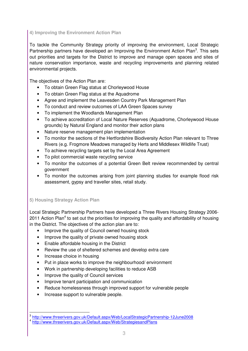# **4) Improving the Environment Action Plan**

To tackle the Community Strategy priority of improving the environment, Local Strategic Partnership partners have developed an Improving the Environment Action Plan<sup>3</sup>. This sets out priorities and targets for the District to improve and manage open spaces and sites of nature conservation importance, waste and recycling improvements and planning related environmental projects.

The objectives of the Action Plan are:

- To obtain Green Flag status at Chorleywood House
- To obtain Green Flag status at the Aquadrome
- Agree and implement the Leavesden Country Park Management Plan
- To conduct and review outcomes of LAA Green Spaces survey
- To implement the Woodlands Management Plan
- To achieve accreditation of Local Nature Reserves (Aquadrome, Chorleywood House grounds) by Natural England and monitor their action plans
- Nature reserve management plan implementation
- To monitor the sections of the Hertfordshire Biodiversity Action Plan relevant to Three Rivers (e.g. Frogmore Meadows managed by Herts and Middlesex Wildlife Trust)
- To achieve recycling targets set by the Local Area Agreement
- To pilot commercial waste recycling service
- To monitor the outcomes of a potential Green Belt review recommended by central government
- To monitor the outcomes arising from joint planning studies for example flood risk assessment, gypsy and traveller sites, retail study.

# **5) Housing Strategy Action Plan**

Local Strategic Partnership Partners have developed a Three Rivers Housing Strategy 2006- 2011 Action Plan<sup>4</sup> to set out the priorities for improving the quality and affordability of housing in the District. The objectives of the action plan are to:

- Improve the quality of Council owned housing stock
- Improve the quality of private owned housing stock
- Enable affordable housing in the District
- Review the use of sheltered schemes and develop extra care
- Increase choice in housing

 $\overline{a}$ 

- Put in place works to improve the neighbourhood/ environment
- Work in partnership developing facilities to reduce ASB
- Improve the quality of Council services
- Improve tenant participation and communication
- Reduce homelessness through improved support for vulnerable people
- Increase support to vulnerable people.

<sup>&</sup>lt;sup>3</sup> http://www.threerivers.gov.uk/Default.aspx/Web/LocalStrategicPartnership-12June2008 <sup>4</sup> http://www.threerivers.gov.uk/Default.aspx/Web/StrategiesandPlans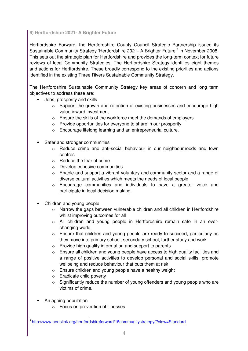# **6) Hertfordshire 2021- A Brighter Future**

Hertfordshire Forward, the Hertfordshire County Council Strategic Partnership issued its Sustainable Community Strategy 'Hertfordshire 2021- A Brighter Future<sup>'5</sup> in November 2008. This sets out the strategic plan for Hertfordshire and provides the long-term context for future reviews of local Community Strategies. The Hertfordshire Strategy identifies eight themes and actions for Hertfordshire. These broadly correspond to the existing priorities and actions identified in the existing Three Rivers Sustainable Community Strategy.

The Hertfordshire Sustainable Community Strategy key areas of concern and long term objectives to address these are:

- Jobs, prosperity and skills
	- o Support the growth and retention of existing businesses and encourage high value inward investment
	- $\circ$  Ensure the skills of the workforce meet the demands of employers
	- $\circ$  Provide opportunities for everyone to share in our prosperity
	- o Encourage lifelong learning and an entrepreneurial culture.
- Safer and stronger communities
	- o Reduce crime and anti-social behaviour in our neighbourhoods and town centres
	- o Reduce the fear of crime
	- o Develop cohesive communities
	- $\circ$  Enable and support a vibrant voluntary and community sector and a range of diverse cultural activities which meets the needs of local people
	- o Encourage communities and individuals to have a greater voice and participate in local decision making.
- Children and young people
	- o Narrow the gaps between vulnerable children and all children in Hertfordshire whilst improving outcomes for all
	- o All children and young people in Hertfordshire remain safe in an everchanging world
	- o Ensure that children and young people are ready to succeed, particularly as they move into primary school, secondary school, further study and work
	- $\circ$  Provide high quality information and support to parents
	- o Ensure all children and young people have access to high quality facilities and a range of positive activities to develop personal and social skills, promote wellbeing and reduce behaviour that puts them at risk
	- o Ensure children and young people have a healthy weight
	- o Eradicate child poverty
	- $\circ$  Significantly reduce the number of young offenders and young people who are victims of crime.
- An ageing population

l.

o Focus on prevention of illnesses

<sup>&</sup>lt;sup>5</sup> http://www.hertslink.org/hertfordshireforward/15communitystrategy/?view=Standard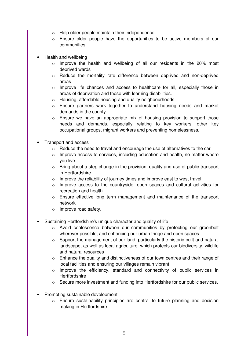- $\circ$  Help older people maintain their independence
- o Ensure older people have the opportunities to be active members of our communities.
- Health and wellbeing
	- $\circ$  Improve the health and wellbeing of all our residents in the 20% most deprived wards
	- o Reduce the mortality rate difference between deprived and non-deprived areas
	- $\circ$  Improve life chances and access to healthcare for all, especially those in areas of deprivation and those with learning disabilities.
	- o Housing, affordable housing and quality neighbourhoods
	- o Ensure partners work together to understand housing needs and market demands in the county
	- $\circ$  Ensure we have an appropriate mix of housing provision to support those needs and demands, especially relating to key workers, other key occupational groups, migrant workers and preventing homelessness.
- Transport and access
	- $\circ$  Reduce the need to travel and encourage the use of alternatives to the car
	- $\circ$  Improve access to services, including education and health, no matter where you live
	- $\circ$  Bring about a step change in the provision, quality and use of public transport in Hertfordshire
	- $\circ$  Improve the reliability of journey times and improve east to west travel
	- $\circ$  Improve access to the countryside, open spaces and cultural activities for recreation and health
	- o Ensure effective long term management and maintenance of the transport network
	- o Improve road safety.
- Sustaining Hertfordshire's unique character and quality of life
	- o Avoid coalescence between our communities by protecting our greenbelt wherever possible, and enhancing our urban fringe and open spaces
	- $\circ$  Support the management of our land, particularly the historic built and natural landscape, as well as local agriculture, which protects our biodiversity, wildlife and natural resources
	- $\circ$  Enhance the quality and distinctiveness of our town centres and their range of local facilities and ensuring our villages remain vibrant
	- o Improve the efficiency, standard and connectivity of public services in **Hertfordshire**
	- o Secure more investment and funding into Hertfordshire for our public services.
- Promoting sustainable development
	- $\circ$  Ensure sustainability principles are central to future planning and decision making in Hertfordshire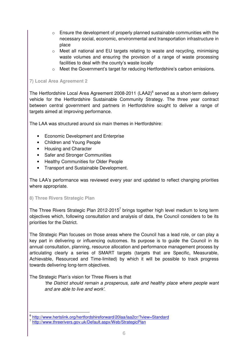- $\circ$  Ensure the development of properly planned sustainable communities with the necessary social, economic, environmental and transportation infrastructure in place
- $\circ$  Meet all national and EU targets relating to waste and recycling, minimising waste volumes and ensuring the provision of a range of waste processing facilities to deal with the county's waste locally
- $\circ$  Meet the Government's target for reducing Hertfordshire's carbon emissions.

#### **7) Local Area Agreement 2**

The Hertfordshire Local Area Agreement 2008-2011 (LAA2) $^6$  served as a short-term delivery vehicle for the Hertfordshire Sustainable Community Strategy. The three year contract between central government and partners in Hertfordshire sought to deliver a range of targets aimed at improving performance.

The LAA was structured around six main themes in Hertfordshire:

- Economic Development and Enterprise
- Children and Young People
- Housing and Character
- Safer and Stronger Communities
- Healthy Communities for Older People
- Transport and Sustainable Development.

The LAA's performance was reviewed every year and updated to reflect changing priorities where appropriate.

#### **8) Three Rivers Strategic Plan**

 $\overline{a}$ 

The Three Rivers Strategic Plan 2012-2015<sup>7</sup> brings together high level medium to long term objectives which, following consultation and analysis of data, the Council considers to be its priorities for the District.

The Strategic Plan focuses on those areas where the Council has a lead role, or can play a key part in delivering or influencing outcomes. Its purpose is to guide the Council in its annual consultation, planning, resource allocation and performance management process by articulating clearly a series of SMART targets (targets that are Specific, Measurable, Achievable, Resourced and Time-limited) by which it will be possible to track progress towards delivering long-term objectives.

The Strategic Plan's vision for Three Rivers is that

'the District should remain a prosperous, safe and healthy place where people want and are able to live and work'.

<sup>&</sup>lt;sup>6</sup> http://www.hertslink.org/hertfordshireforward/20laa/laa2cr/?view=Standard <sup>7</sup> http://www.threerivers.gov.uk/Default.aspx/Web/StrategicPlan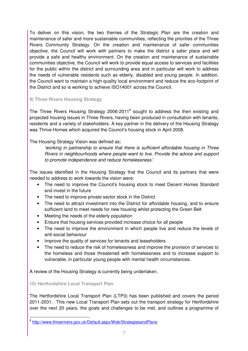To deliver on this vision, the two themes of the Strategic Plan are the creation and maintenance of safer and more sustainable communities, reflecting the priorities of the Three Rivers Community Strategy. On the creation and maintenance of safer communities objective, the Council will work with partners to make the district a safer place and will provide a safe and healthy environment. On the creation and maintenance of sustainable communities objective, the Council will work to provide equal access to services and facilities for the public within the district and surrounding area and in particular will work to address the needs of vulnerable residents such as elderly, disabled and young people. In addition, the Council want to maintain a high quality local environment and reduce the eco-footprint of the District and so is working to achieve ISO14001 across the Council.

# **9) Three Rivers Housing Strategy**

The Three Rivers Housing Strategy 2006-2011<sup>8</sup> sought to address the then existing and projected housing issues in Three Rivers, having been produced in consultation with tenants, residents and a variety of stakeholders. A key partner in the delivery of the Housing Strategy was Thrive Homes which acquired the Council's housing stock in April 2008.

# The Housing Strategy Vision was defined as;

'working in partnership to ensure that there is sufficient affordable housing in Three Rivers in neighbourhoods where people want to live. Provide the advice and support to promote independence and reduce homelessness'.

The issues identified in the Housing Strategy that the Council and its partners that were needed to address to work towards the vision were:

- The need to improve the Council's housing stock to meet Decent Homes Standard and invest in the future
- The need to improve private sector stock in the District
- The need to attract investment into the District for affordable housing, and to ensure sufficient land to meet needs for new housing whilst protecting the Green Belt
- Meeting the needs of the elderly population
- Ensure that housing services provided increase choice for all people
- The need to improve the environment in which people live and reduce the levels of anti-social behaviour
- Improve the quality of services for tenants and leaseholders
- The need to reduce the risk of homelessness and improve the provision of services to the homeless and those threatened with homelessness and to increase support to vulnerable, in particular young people with mental health circumstances.

A review of the Housing Strategy is currently being undertaken.

# **10) Hertfordshire Local Transport Plan**

l.

The Hertfordshire Local Transport Plan (LTP3) has been published and covers the period 2011-2031. This new Local Transport Plan sets out the transport strategy for Hertfordshire over the next 20 years, the goals and challenges to be met, and outlines a programme of

<sup>&</sup>lt;sup>8</sup> http://www.threerivers.gov.uk/Default.aspx/Web/StrategiesandPlans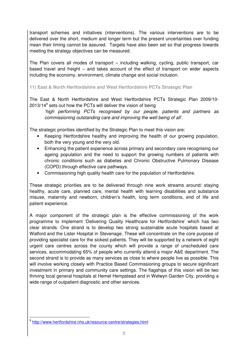transport schemes and initiatives (interventions). The various interventions are to be delivered over the short, medium and longer term but the present uncertainties over funding mean their timing cannot be assured. Targets have also been set so that progress towards meeting the strategy objectives can be measured.

The Plan covers all modes of transport – including walking, cycling, public transport, car based travel and freight – and takes account of the effect of transport on wider aspects including the economy, environment, climate change and social inclusion.

**11) East & North Hertfordshire and West Hertfordshire PCTs Strategic Plan** 

The East & North Hertfordshire and West Hertfordshire PCTs Strategic Plan 2009/10-  $2013/14<sup>9</sup>$  sets out how the PCTs will deliver the vision of being

'high performing PCTs recognised by our people, patients and partners as commissioning outstanding care and improving the well being of all'.

The strategic priorities identified by the Strategic Plan to meet this vision are:

- Keeping Hertfordshire healthy and improving the health of our growing population, both the very young and the very old.
- Enhancing the patient experience across primary and secondary care recognising our ageing population and the need to support the growing numbers of patients with chronic conditions such as diabetes and Chronic Obstructive Pulmonary Disease (COPD) through effective care pathways.
- Commissioning high quality health care for the population of Hertfordshire.

These strategic priorities are to be delivered through nine work streams around: staying healthy, acute care, planned care, mental health with learning disabilities and substance misuse, maternity and newborn, children's health, long term conditions, end of life and patient experience.

A major component of the strategic plan is the effective commissioning of the work programme to implement 'Delivering Quality Healthcare for Hertfordshire' which has two clear strands. One strand is to develop two strong sustainable acute hospitals based at Watford and the Lister Hospital in Stevenage. These will concentrate on the core purpose of providing specialist care for the sickest patients. They will be supported by a network of eight urgent care centres across the county which will provide a range of unscheduled care services, accommodating 65% of people who currently attend a major A&E department. The second strand is to provide as many services as close to where people live as possible. This will involve working closely with Practice Based Commissioning groups to secure significant investment in primary and community care settings. The flagships of this vision will be two thriving local general hospitals at Hemel Hempstead and in Welwyn Garden City, providing a wide range of outpatient diagnostic and other services.

l.

<sup>&</sup>lt;sup>9</sup> http://www.hertfordshire.nhs.uk/resource-centre/strategies.html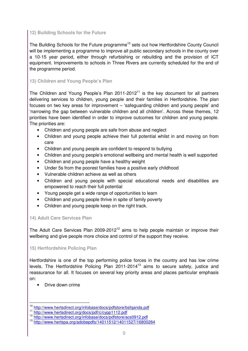# **12) Building Schools for the Future**

The Building Schools for the Future programme<sup>10</sup> sets out how Hertfordshire County Council will be implementing a programme to improve all public secondary schools in the county over a 10-15 year period, either through refurbishing or rebuilding and the provision of ICT equipment. Improvements to schools in Three Rivers are currently scheduled for the end of the programme period.

# **13) Children and Young People's Plan**

The Children and Young People's Plan  $2011-2012<sup>11</sup>$  is the key document for all partners delivering services to children, young people and their families in Hertfordshire. The plan focuses on two key areas for improvement – 'safeguarding children and young people' and 'narrowing the gap between vulnerable children and all children'. Across these themes, 12 priorities have been identified in order to improve outcomes for children and young people. The priorities are:

- Children and young people are safe from abuse and neglect
- Children and young people achieve their full potential whilst in and moving on from care
- Children and young people are confident to respond to bullying
- Children and young people's emotional wellbeing and mental health is well supported
- Children and young people have a healthy weight
- Under 5s from the poorest families have a positive early childhood
- Vulnerable children achieve as well as others
- Children and young people with special educational needs and disabilities are empowered to reach their full potential
- Young people get a wide range of opportunities to learn
- Children and young people thrive in spite of family poverty
- Children and young people keep on the right track.

# **14) Adult Care Services Plan**

The Adult Care Services Plan 2009-2012<sup>12</sup> aims to help people maintain or improve their wellbeing and give people more choice and control of the support they receive.

# **15) Hertfordshire Policing Plan**

Hertfordshire is one of the top performing police forces in the country and has low crime levels. The Hertfordshire Policing Plan 2011-2014<sup>13</sup> aims to secure safety, justice and reassurance for all. It focuses on several key priority areas and places particular emphasis on:

• Drive down crime

l.

<sup>10</sup> http://www.hertsdirect.org/infobase/docs/pdfstore/bsfqanda.pdf

<sup>11</sup> http://www.hertsdirect.org/docs/pdf/c/cypp1112.pdf

<sup>12</sup> http://www.hertsdirect.org/infobase/docs/pdfstore/acs0912.pdf

<sup>13</sup> http://www.hertspa.org/adobepdfs/14011512/14011527/16800264